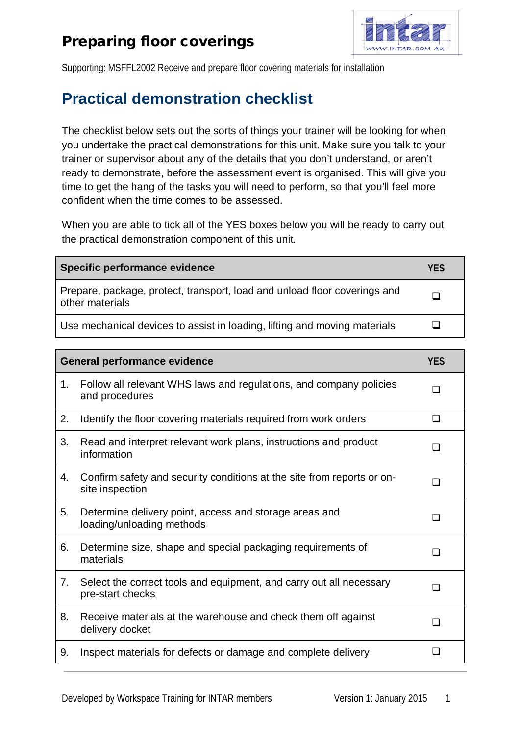## Preparing floor coverings



Supporting: MSFFL2002 Receive and prepare floor covering materials for installation

## **Practical demonstration checklist**

The checklist below sets out the sorts of things your trainer will be looking for when you undertake the practical demonstrations for this unit. Make sure you talk to your trainer or supervisor about any of the details that you don't understand, or aren't ready to demonstrate, before the assessment event is organised. This will give you time to get the hang of the tasks you will need to perform, so that you'll feel more confident when the time comes to be assessed.

When you are able to tick all of the YES boxes below you will be ready to carry out the practical demonstration component of this unit.

| Specific performance evidence                                                                | <b>YFS</b> |
|----------------------------------------------------------------------------------------------|------------|
| Prepare, package, protect, transport, load and unload floor coverings and<br>other materials |            |
| Use mechanical devices to assist in loading, lifting and moving materials                    |            |

| <b>General performance evidence</b> |                                                                                           | <b>YES</b> |
|-------------------------------------|-------------------------------------------------------------------------------------------|------------|
| 1.                                  | Follow all relevant WHS laws and regulations, and company policies<br>and procedures      |            |
| 2.                                  | Identify the floor covering materials required from work orders                           |            |
| 3.                                  | Read and interpret relevant work plans, instructions and product<br>information           | - 1        |
| 4.                                  | Confirm safety and security conditions at the site from reports or on-<br>site inspection | - 1        |
| 5.                                  | Determine delivery point, access and storage areas and<br>loading/unloading methods       |            |
| 6.                                  | Determine size, shape and special packaging requirements of<br>materials                  |            |
| 7.                                  | Select the correct tools and equipment, and carry out all necessary<br>pre-start checks   |            |
| 8.                                  | Receive materials at the warehouse and check them off against<br>delivery docket          |            |
| 9.                                  | Inspect materials for defects or damage and complete delivery                             |            |